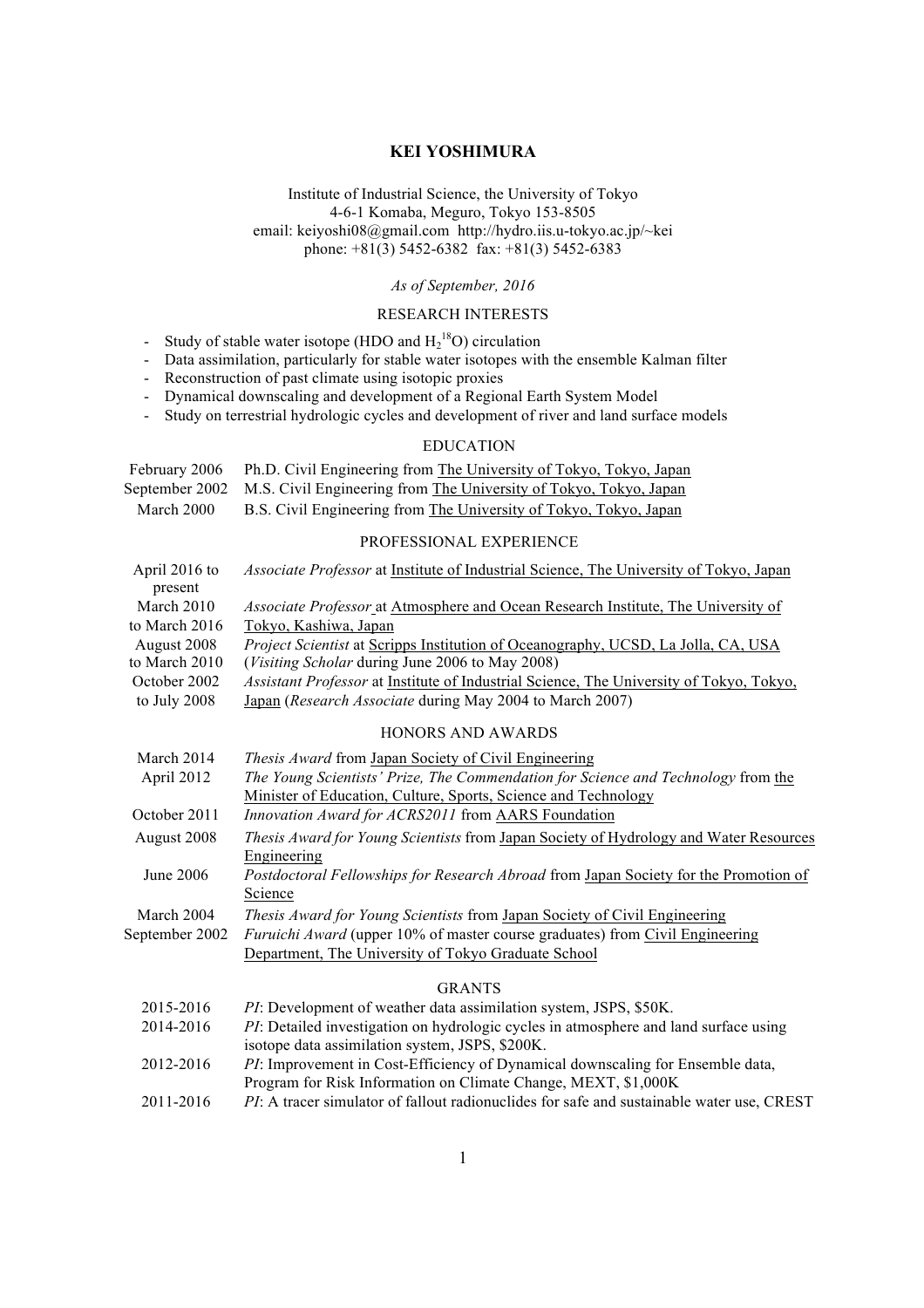# **KEI YOSHIMURA**

Institute of Industrial Science, the University of Tokyo 4-6-1 Komaba, Meguro, Tokyo 153-8505 email: keiyoshi08@gmail.com http://hydro.iis.u-tokyo.ac.jp/~kei phone:  $+81(3)$  5452-6382 fax:  $+81(3)$  5452-6383

### *As of September, 2016*

# RESEARCH INTERESTS

- Study of stable water isotope (HDO and  $H_2^{18}O$ ) circulation
- Data assimilation, particularly for stable water isotopes with the ensemble Kalman filter
- Reconstruction of past climate using isotopic proxies
- Dynamical downscaling and development of a Regional Earth System Model
- Study on terrestrial hydrologic cycles and development of river and land surface models

## EDUCATION

|            | February 2006 Ph.D. Civil Engineering from The University of Tokyo, Tokyo, Japan |
|------------|----------------------------------------------------------------------------------|
|            | September 2002 M.S. Civil Engineering from The University of Tokyo, Tokyo, Japan |
| March 2000 | B.S. Civil Engineering from The University of Tokyo, Tokyo, Japan                |

#### PROFESSIONAL EXPERIENCE

| April 2016 to<br>present | <i>Associate Professor</i> at Institute of Industrial Science, The University of Tokyo, Japan  |
|--------------------------|------------------------------------------------------------------------------------------------|
| March 2010               | <i>Associate Professor</i> at Atmosphere and Ocean Research Institute, The University of       |
| to March 2016            | Tokyo, Kashiwa, Japan                                                                          |
| August 2008              | <i>Project Scientist</i> at Scripps Institution of Oceanography, UCSD, La Jolla, CA, USA       |
| to March 2010            | <i>(Visiting Scholar during June 2006 to May 2008)</i>                                         |
| October 2002             | <i>Assistant Professor</i> at Institute of Industrial Science, The University of Tokyo, Tokyo, |
| to July 2008             | Japan (Research Associate during May 2004 to March 2007)                                       |
|                          |                                                                                                |

#### HONORS AND AWARDS

| March 2014     | <i>Thesis Award</i> from Japan Society of Civil Engineering                                  |
|----------------|----------------------------------------------------------------------------------------------|
| April 2012     | The Young Scientists' Prize, The Commendation for Science and Technology from the            |
|                | Minister of Education, Culture, Sports, Science and Technology                               |
| October 2011   | Innovation Award for ACRS2011 from AARS Foundation                                           |
| August 2008    | <i>Thesis Award for Young Scientists</i> from Japan Society of Hydrology and Water Resources |
|                | Engineering                                                                                  |
| June 2006      | Postdoctoral Fellowships for Research Abroad from Japan Society for the Promotion of         |
|                | Science                                                                                      |
| March 2004     | <i>Thesis Award for Young Scientists</i> from Japan Society of Civil Engineering             |
| September 2002 | <i>Furuichi Award</i> (upper 10% of master course graduates) from Civil Engineering          |
|                | Department, The University of Tokyo Graduate School                                          |
|                |                                                                                              |

#### GRANTS

| 2015-2016 | PI: Development of weather data assimilation system, JSPS, \$50K.                                 |
|-----------|---------------------------------------------------------------------------------------------------|
| 2014-2016 | <i>PI</i> : Detailed investigation on hydrologic cycles in atmosphere and land surface using      |
|           | isotope data assimilation system, JSPS, \$200K.                                                   |
| 2012-2016 | <i>PI</i> : Improvement in Cost-Efficiency of Dynamical downscaling for Ensemble data,            |
|           | Program for Risk Information on Climate Change, MEXT, \$1,000K                                    |
| 2011-2016 | <i>PI</i> : A tracer simulator of fallout radionuclides for safe and sustainable water use, CREST |